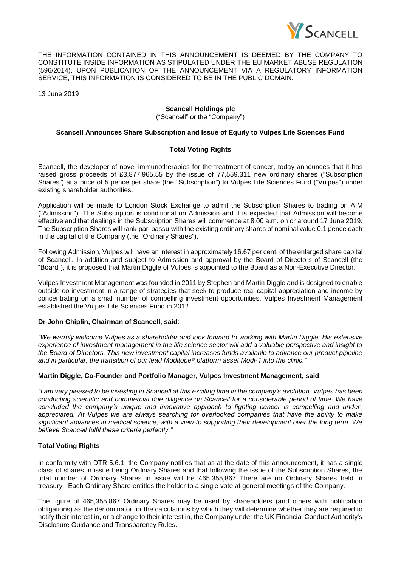

THE INFORMATION CONTAINED IN THIS ANNOUNCEMENT IS DEEMED BY THE COMPANY TO CONSTITUTE INSIDE INFORMATION AS STIPULATED UNDER THE EU MARKET ABUSE REGULATION (596/2014). UPON PUBLICATION OF THE ANNOUNCEMENT VIA A REGULATORY INFORMATION SERVICE, THIS INFORMATION IS CONSIDERED TO BE IN THE PUBLIC DOMAIN.

13 June 2019

# **Scancell Holdings plc**

("Scancell" or the "Company")

#### **Scancell Announces Share Subscription and Issue of Equity to Vulpes Life Sciences Fund**

# **Total Voting Rights**

Scancell, the developer of novel immunotherapies for the treatment of cancer, today announces that it has raised gross proceeds of £3,877,965.55 by the issue of 77,559,311 new ordinary shares ("Subscription Shares") at a price of 5 pence per share (the "Subscription") to Vulpes Life Sciences Fund ("Vulpes") under existing shareholder authorities.

Application will be made to London Stock Exchange to admit the Subscription Shares to trading on AIM ("Admission"). The Subscription is conditional on Admission and it is expected that Admission will become effective and that dealings in the Subscription Shares will commence at 8.00 a.m. on or around 17 June 2019. The Subscription Shares will rank pari passu with the existing ordinary shares of nominal value 0.1 pence each in the capital of the Company (the "Ordinary Shares").

Following Admission, Vulpes will have an interest in approximately 16.67 per cent. of the enlarged share capital of Scancell. In addition and subject to Admission and approval by the Board of Directors of Scancell (the "Board"), it is proposed that Martin Diggle of Vulpes is appointed to the Board as a Non-Executive Director.

Vulpes Investment Management was founded in 2011 by Stephen and Martin Diggle and is designed to enable outside co-investment in a range of strategies that seek to produce real capital appreciation and income by concentrating on a small number of compelling investment opportunities. Vulpes Investment Management established the Vulpes Life Sciences Fund in 2012.

# **Dr John Chiplin, Chairman of Scancell, said**:

*"We warmly welcome Vulpes as a shareholder and look forward to working with Martin Diggle. His extensive experience of investment management in the life science sector will add a valuable perspective and insight to the Board of Directors. This new investment capital increases funds available to advance our product pipeline and in particular, the transition of our lead Moditope® platform asset Modi-1 into the clinic."*

#### **Martin Diggle, Co-Founder and Portfolio Manager, Vulpes Investment Management, said**:

*"I am very pleased to be investing in Scancell at this exciting time in the company's evolution. Vulpes has been conducting scientific and commercial due diligence on Scancell for a considerable period of time. We have concluded the company's unique and innovative approach to fighting cancer is compelling and underappreciated. At Vulpes we are always searching for overlooked companies that have the ability to make significant advances in medical science, with a view to supporting their development over the long term. We believe Scancell fulfil these criteria perfectly."*

# **Total Voting Rights**

In conformity with DTR 5.6.1, the Company notifies that as at the date of this announcement, it has a single class of shares in issue being Ordinary Shares and that following the issue of the Subscription Shares, the total number of Ordinary Shares in issue will be 465,355,867. There are no Ordinary Shares held in treasury. Each Ordinary Share entitles the holder to a single vote at general meetings of the Company.

The figure of 465,355,867 Ordinary Shares may be used by shareholders (and others with notification obligations) as the denominator for the calculations by which they will determine whether they are required to notify their interest in, or a change to their interest in, the Company under the UK Financial Conduct Authority's Disclosure Guidance and Transparency Rules.